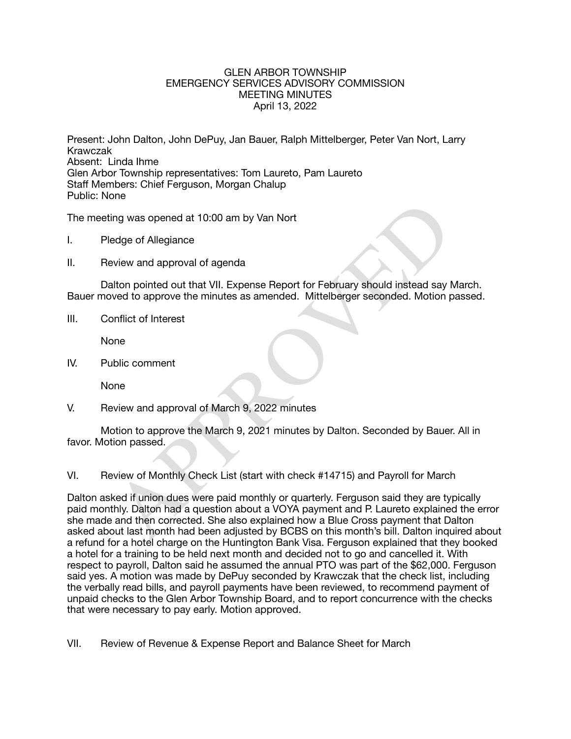## GLEN ARBOR TOWNSHIP EMERGENCY SERVICES ADVISORY COMMISSION MEETING MINUTES April 13, 2022

Present: John Dalton, John DePuy, Jan Bauer, Ralph Mittelberger, Peter Van Nort, Larry Krawczak Absent: Linda Ihme Glen Arbor Township representatives: Tom Laureto, Pam Laureto Staff Members: Chief Ferguson, Morgan Chalup Public: None

The meeting was opened at 10:00 am by Van Nort

- I. Pledge of Allegiance
- II. Review and approval of agenda

Dalton pointed out that VII. Expense Report for February should instead say March. Bauer moved to approve the minutes as amended. Mittelberger seconded. Motion passed.

III. Conflict of Interest

None

IV. Public comment 

None

V. Review and approval of March 9, 2022 minutes

Motion to approve the March 9, 2021 minutes by Dalton. Seconded by Bauer. All in favor. Motion passed.

VI. Review of Monthly Check List (start with check #14715) and Payroll for March

ing was opened at 10:00 am by Van Nort<br>edge of Allegiance<br>eview and approval of agenda<br>alton pointed out that VII. Expense Report for February should instead say M<br>wed to approve the minutes as amended. Mittelberger second Dalton asked if union dues were paid monthly or quarterly. Ferguson said they are typically paid monthly. Dalton had a question about a VOYA payment and P. Laureto explained the error she made and then corrected. She also explained how a Blue Cross payment that Dalton asked about last month had been adjusted by BCBS on this month's bill. Dalton inquired about a refund for a hotel charge on the Huntington Bank Visa. Ferguson explained that they booked a hotel for a training to be held next month and decided not to go and cancelled it. With respect to payroll, Dalton said he assumed the annual PTO was part of the \$62,000. Ferguson said yes. A motion was made by DePuy seconded by Krawczak that the check list, including the verbally read bills, and payroll payments have been reviewed, to recommend payment of unpaid checks to the Glen Arbor Township Board, and to report concurrence with the checks that were necessary to pay early. Motion approved.

VII. Review of Revenue & Expense Report and Balance Sheet for March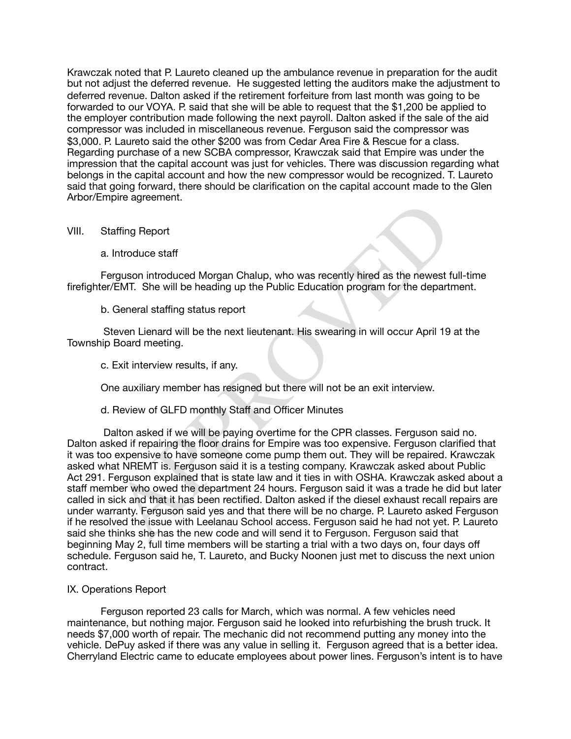Krawczak noted that P. Laureto cleaned up the ambulance revenue in preparation for the audit but not adjust the deferred revenue. He suggested letting the auditors make the adjustment to deferred revenue. Dalton asked if the retirement forfeiture from last month was going to be forwarded to our VOYA. P. said that she will be able to request that the \$1,200 be applied to the employer contribution made following the next payroll. Dalton asked if the sale of the aid compressor was included in miscellaneous revenue. Ferguson said the compressor was \$3,000. P. Laureto said the other \$200 was from Cedar Area Fire & Rescue for a class. Regarding purchase of a new SCBA compressor, Krawczak said that Empire was under the impression that the capital account was just for vehicles. There was discussion regarding what belongs in the capital account and how the new compressor would be recognized. T. Laureto said that going forward, there should be clarification on the capital account made to the Glen Arbor/Empire agreement.

## VIII. Staffing Report

a. Introduce staff

Ferguson introduced Morgan Chalup, who was recently hired as the newest full-time firefighter/EMT. She will be heading up the Public Education program for the department.

## b. General staffing status report

 Steven Lienard will be the next lieutenant. His swearing in will occur April 19 at the Township Board meeting.

c. Exit interview results, if any.

One auxiliary member has resigned but there will not be an exit interview.

d. Review of GLFD monthly Staff and Officer Minutes

raffing Report<br>
Introduce staff<br>
Introduce staff<br>
VEMT. She will be heading up the Public Education program for the depart<br>
VEMT. She will be heading up the Public Education program for the depart<br>
General staffing status Dalton asked if we will be paying overtime for the CPR classes. Ferguson said no. Dalton asked if repairing the floor drains for Empire was too expensive. Ferguson clarified that it was too expensive to have someone come pump them out. They will be repaired. Krawczak asked what NREMT is. Ferguson said it is a testing company. Krawczak asked about Public Act 291. Ferguson explained that is state law and it ties in with OSHA. Krawczak asked about a staff member who owed the department 24 hours. Ferguson said it was a trade he did but later called in sick and that it has been rectified. Dalton asked if the diesel exhaust recall repairs are under warranty. Ferguson said yes and that there will be no charge. P. Laureto asked Ferguson if he resolved the issue with Leelanau School access. Ferguson said he had not yet. P. Laureto said she thinks she has the new code and will send it to Ferguson. Ferguson said that beginning May 2, full time members will be starting a trial with a two days on, four days off schedule. Ferguson said he, T. Laureto, and Bucky Noonen just met to discuss the next union contract.

# IX. Operations Report

Ferguson reported 23 calls for March, which was normal. A few vehicles need maintenance, but nothing major. Ferguson said he looked into refurbishing the brush truck. It needs \$7,000 worth of repair. The mechanic did not recommend putting any money into the vehicle. DePuy asked if there was any value in selling it. Ferguson agreed that is a better idea. Cherryland Electric came to educate employees about power lines. Ferguson's intent is to have